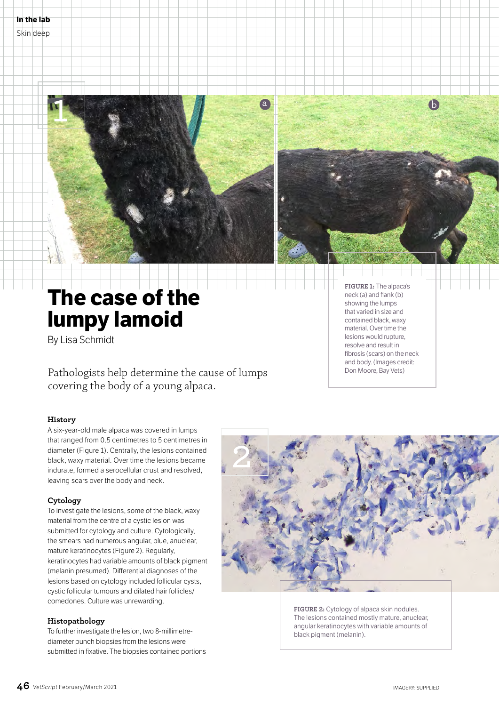



# **The case of the lumpy lamoid**

By Lisa Schmidt

Pathologists help determine the cause of lumps covering the body of a young alpaca.

## **History**

A six-year-old male alpaca was covered in lumps that ranged from 0.5 centimetres to 5 centimetres in diameter (Figure 1). Centrally, the lesions contained black, waxy material. Over time the lesions became indurate, formed a serocellular crust and resolved, leaving scars over the body and neck.

## **Cytology**

To investigate the lesions, some of the black, waxy material from the centre of a cystic lesion was submitted for cytology and culture. Cytologically, the smears had numerous angular, blue, anuclear, mature keratinocytes (Figure 2). Regularly, keratinocytes had variable amounts of black pigment (melanin presumed). Differential diagnoses of the lesions based on cytology included follicular cysts, cystic follicular tumours and dilated hair follicles/ comedones. Culture was unrewarding.

## **Histopathology**

To further investigate the lesion, two 8-millimetrediameter punch biopsies from the lesions were submitted in fixative. The biopsies contained portions **FIGURE 1:** The alpaca's neck (a) and flank (b) showing the lumps that varied in size and contained black, waxy material. Over time the lesions would rupture, resolve and result in fibrosis (scars) on the neck and body. (Images credit: Don Moore, Bay Vets)



**FIGURE 2:** Cytology of alpaca skin nodules. The lesions contained mostly mature, anuclear, angular keratinocytes with variable amounts of black pigment (melanin).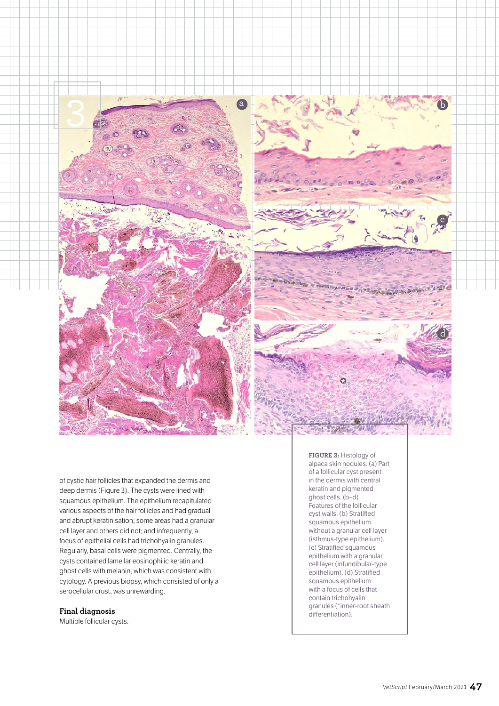



of cystic hair follicles that expanded the dermis and deep dermis (Figure 3). The cysts were lined with squamous epithelium. The epithelium recapitulated various aspects of the hair follicles and had gradual and abrupt keratinisation; some areas had a granular cell layer and others did not; and infrequently, a focus of epithelial cells had trichohyalin granules. Regularly, basal cells were pigmented. Centrally, the cysts contained lamellar eosinophilic keratin and ghost cells with melanin, which was consistent with cytology. A previous biopsy, which consisted of only a serocellular crust, was unrewarding.

### **Final diagnosis**

Multiple follicular cysts.

**FIGURE 3:** Histology of alpaca skin nodules. (a) Part of a follicular cyst present in the dermis with central keratin and pigmented ghost cells. (b–d) Features of the follicular cyst walls. (b) Stratified squamous epithelium without a granular cell layer (isthmus-type epithelium). (c) Stratified squamous epithelium with a granular cell layer (infundibular-type epithelium). (d) Stratified squamous epithelium with a focus of cells that contain trichohyalin granules (\*inner-root sheath differentiation).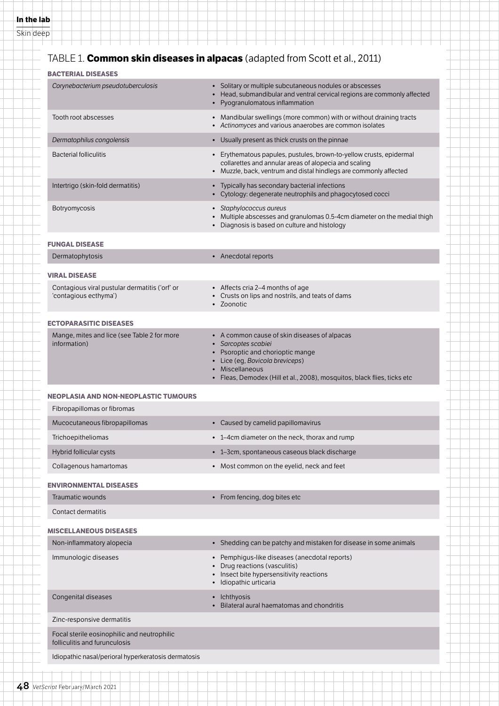## TABLE 1. **Common skin diseases in alpacas** (adapted from Scott et al., 2011)

| Corynebacterium pseudotuberculosis                                           | • Solitary or multiple subcutaneous nodules or abscesses<br>• Head, submandibular and ventral cervical regions are commonly affected<br>• Pyogranulomatous inflammation                           |
|------------------------------------------------------------------------------|---------------------------------------------------------------------------------------------------------------------------------------------------------------------------------------------------|
| Tooth root abscesses                                                         | • Mandibular swellings (more common) with or without draining tracts<br>• Actinomyces and various anaerobes are common isolates                                                                   |
| Dermatophilus congolensis                                                    | • Usually present as thick crusts on the pinnae                                                                                                                                                   |
| <b>Bacterial folliculitis</b>                                                | • Erythematous papules, pustules, brown-to-yellow crusts, epidermal<br>collarettes and annular areas of alopecia and scaling<br>• Muzzle, back, ventrum and distal hindlegs are commonly affected |
| Intertrigo (skin-fold dermatitis)                                            | • Typically has secondary bacterial infections<br>• Cytology: degenerate neutrophils and phagocytosed cocci                                                                                       |
| Botryomycosis                                                                | • Staphylococcus aureus<br>• Multiple abscesses and granulomas 0.5-4cm diameter on the medial thigh<br>• Diagnosis is based on culture and histology                                              |
| <b>FUNGAL DISEASE</b>                                                        |                                                                                                                                                                                                   |
| Dermatophytosis                                                              | • Anecdotal reports                                                                                                                                                                               |
| <b>VIRAL DISEASE</b>                                                         |                                                                                                                                                                                                   |
| Contagious viral pustular dermatitis ('orf' or<br>'contagious ecthyma')      | • Affects cria 2-4 months of age<br>• Crusts on lips and nostrils, and teats of dams<br>· Zoonotic                                                                                                |
| <b>ECTOPARASITIC DISEASES</b>                                                |                                                                                                                                                                                                   |
| Mange, mites and lice (see Table 2 for more<br>information)                  | • A common cause of skin diseases of alpacas<br>• Sarcoptes scabiei<br>• Psoroptic and chorioptic mange<br>• Lice (eg, Bovicola breviceps)                                                        |
|                                                                              | Miscellaneous<br>• Fleas, Demodex (Hill et al., 2008), mosquitos, black flies, ticks etc                                                                                                          |
| <b>NEOPLASIA AND NON-NEOPLASTIC TUMOURS</b>                                  |                                                                                                                                                                                                   |
| Fibropapillomas or fibromas                                                  |                                                                                                                                                                                                   |
| Mucocutaneous fibropapillomas                                                | • Caused by camelid papillomavirus                                                                                                                                                                |
| Trichoepitheliomas                                                           | • 1-4cm diameter on the neck, thorax and rump                                                                                                                                                     |
| <b>Hybrid follicular cysts</b>                                               | • 1-3cm, spontaneous caseous black discharge                                                                                                                                                      |
| Collagenous hamartomas                                                       | • Most common on the eyelid, neck and feet                                                                                                                                                        |
| <b>ENVIRONMENTAL DISEASES</b>                                                |                                                                                                                                                                                                   |
| Traumatic wounds                                                             | • From fencing, dog bites etc                                                                                                                                                                     |
| Contact dermatitis                                                           |                                                                                                                                                                                                   |
| <b>MISCELLANEOUS DISEASES</b>                                                |                                                                                                                                                                                                   |
| Non-inflammatory alopecia                                                    | • Shedding can be patchy and mistaken for disease in some animals                                                                                                                                 |
| Immunologic diseases                                                         | • Pemphigus-like diseases (anecdotal reports)<br>• Drug reactions (vasculitis)<br>• Insect bite hypersensitivity reactions<br>· Idiopathic urticaria                                              |
| Congenital diseases                                                          | • Ichthyosis<br>Bilateral aural haematomas and chondritis                                                                                                                                         |
| Zinc-responsive dermatitis                                                   |                                                                                                                                                                                                   |
| Focal sterile eosinophilic and neutrophilic<br>folliculitis and furunculosis |                                                                                                                                                                                                   |